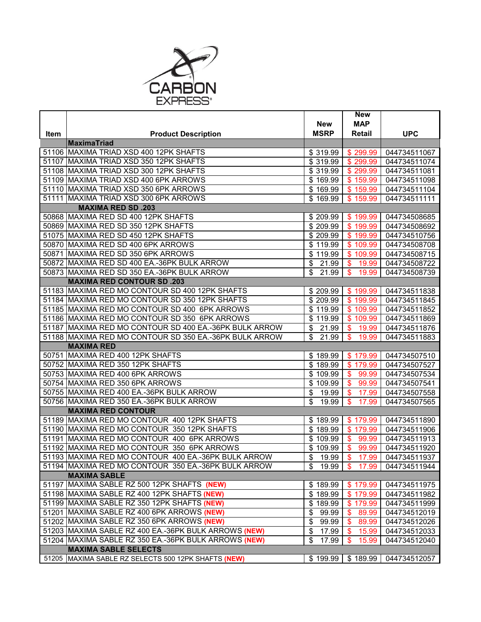

|             |                                                          |                                     | <b>New</b>               |                                     |
|-------------|----------------------------------------------------------|-------------------------------------|--------------------------|-------------------------------------|
|             |                                                          | <b>New</b>                          | <b>MAP</b>               |                                     |
| <b>Item</b> | <b>Product Description</b>                               | <b>MSRP</b>                         | <b>Retail</b>            | <b>UPC</b>                          |
|             | <b>MaximaTriad</b>                                       |                                     |                          |                                     |
|             | 51106 MAXIMA TRIAD XSD 400 12PK SHAFTS                   | \$319.99                            | \$299.99                 | 044734511067                        |
|             | 51107 MAXIMA TRIAD XSD 350 12PK SHAFTS                   | \$319.99                            | \$299.99                 | 044734511074                        |
|             | 51108 MAXIMA TRIAD XSD 300 12PK SHAFTS                   | \$319.99                            | \$299.99                 | 044734511081                        |
|             | 51109 MAXIMA TRIAD XSD 400 6PK ARROWS                    | \$169.99                            | \$159.99                 | 044734511098                        |
|             | 51110 MAXIMA TRIAD XSD 350 6PK ARROWS                    | \$169.99                            | \$159.99                 | 044734511104                        |
|             | 51111 MAXIMA TRIAD XSD 300 6PK ARROWS                    | \$169.99                            | \$159.99                 | 044734511111                        |
|             | <b>MAXIMA RED SD.203</b>                                 |                                     |                          |                                     |
|             | 50868 MAXIMA RED SD 400 12PK SHAFTS                      | \$209.99                            | \$199.99                 | 044734508685                        |
|             | 50869 MAXIMA RED SD 350 12PK SHAFTS                      | \$209.99                            | \$199.99                 | 044734508692                        |
|             | 51075 MAXIMA RED SD 450 12PK SHAFTS                      | \$209.99                            | \$199.99                 | 044734510756                        |
|             | 50870 MAXIMA RED SD 400 6PK ARROWS                       | \$119.99                            | \$109.99                 | 044734508708                        |
|             | 50871 MAXIMA RED SD 350 6PK ARROWS                       | \$119.99                            | \$109.99                 | 044734508715                        |
|             | 50872 MAXIMA RED SD 400 EA.-36PK BULK ARROW              | 21.99<br>$\boldsymbol{\mathsf{S}}$  | $\mathbf{\$}$<br>19.99   | 044734508722                        |
|             | 50873 MAXIMA RED SD 350 EA.-36PK BULK ARROW              | $\mathcal{S}$<br>21.99              | \$<br>19.99              | 044734508739                        |
|             | <b>MAXIMA RED CONTOUR SD.203</b>                         |                                     |                          |                                     |
|             | 51183 MAXIMA RED MO CONTOUR SD 400 12PK SHAFTS           | \$209.99                            | \$199.99                 | 044734511838                        |
|             | 51184 MAXIMA RED MO CONTOUR SD 350 12PK SHAFTS           | \$209.99                            | \$199.99                 | 044734511845                        |
|             | 51185 MAXIMA RED MO CONTOUR SD 400 6PK ARROWS            | \$119.99                            | \$109.99                 | 044734511852                        |
|             | 51186 MAXIMA RED MO CONTOUR SD 350 6PK ARROWS            | \$119.99                            | \$109.99                 | 044734511869                        |
|             | 51187   MAXIMA RED MO CONTOUR SD 400 EA.-36PK BULK ARROW | $\boldsymbol{\mathsf{S}}$<br>21.99  | \$<br>19.99              | 044734511876                        |
|             | 51188 MAXIMA RED MO CONTOUR SD 350 EA.-36PK BULK ARROW   | $\mathfrak{L}$<br>21.99             | $\mathbf{s}$<br>19.99    | 044734511883                        |
|             | <b>MAXIMA RED</b>                                        |                                     |                          |                                     |
|             | 50751 MAXIMA RED 400 12PK SHAFTS                         | \$189.99                            | \$179.99                 | 044734507510                        |
|             | 50752 MAXIMA RED 350 12PK SHAFTS                         | \$189.99                            | $\mathfrak{S}$<br>179.99 | 044734507527                        |
|             | 50753 MAXIMA RED 400 6PK ARROWS                          | \$109.99                            | \$<br>99.99              | 044734507534                        |
|             | 50754 MAXIMA RED 350 6PK ARROWS                          | \$109.99                            | \$<br>99.99              | 044734507541                        |
|             | 50755 MAXIMA RED 400 EA.-36PK BULK ARROW                 | $19.99$ \$<br>$\$\$                 | 17.99                    | 044734507558                        |
|             | 50756 MAXIMA RED 350 EA.-36PK BULK ARROW                 | \$ 19.99                            | \$ 17.99                 | 044734507565                        |
|             | <b>MAXIMA RED CONTOUR</b>                                |                                     |                          |                                     |
|             | 51189 MAXIMA RED MO CONTOUR 400 12PK SHAFTS              | \$189.99                            | \$179.99                 | 044734511890                        |
|             | 51190 MAXIMA RED MO CONTOUR 350 12PK SHAFTS              | \$189.99                            | \$179.99                 | 044734511906                        |
|             | 51191 MAXIMA RED MO CONTOUR 400 6PK ARROWS               | \$109.99                            | \$99.99                  | 044734511913                        |
|             | 51192 MAXIMA RED MO CONTOUR 350 6PK ARROWS               | \$109.99                            | $\mathsf{S}$<br>99.99    | 044734511920                        |
|             | 51193 MAXIMA RED MO CONTOUR 400 EA.-36PK BULK ARROW      | \$19.99                             | \$17.99                  | 044734511937                        |
|             | 51194 MAXIMA RED MO CONTOUR 350 EA.-36PK BULK ARROW      | \$19.99                             | \$17.99                  | 044734511944                        |
|             | <b>MAXIMA SABLE</b>                                      |                                     |                          |                                     |
|             | 51197 MAXIMA SABLE RZ 500 12PK SHAFTS (NEW)              | \$189.99                            | \$179.99                 | 044734511975                        |
|             | 51198 MAXIMA SABLE RZ 400 12PK SHAFTS (NEW)              | \$189.99                            | \$179.99                 | 044734511982                        |
|             | 51199 MAXIMA SABLE RZ 350 12PK SHAFTS (NEW)              | \$189.99                            | \$179.99                 | 044734511999                        |
|             | 51201 MAXIMA SABLE RZ 400 6PK ARROWS (NEW)               | \$99.99                             | \$89.99                  | 044734512019                        |
|             | 51202 MAXIMA SABLE RZ 350 6PK ARROWS (NEW)               | 99.99<br>$\boldsymbol{\mathsf{S}}$  | \$89.99                  | 044734512026                        |
|             | 51203 MAXIMA SABLE RZ 400 EA.-36PK BULK ARROWS (NEW)     | \$17.99                             | \$15.99                  | 044734512033                        |
|             | 51204 MAXIMA SABLE RZ 350 EA.-36PK BULK ARROWS (NEW)     | $\boldsymbol{\mathcal{S}}$<br>17.99 | $\mathfrak{S}$<br>15.99  | 044734512040                        |
|             | <b>MAXIMA SABLE SELECTS</b>                              |                                     |                          |                                     |
|             | 51205 MAXIMA SABLE RZ SELECTS 500 12PK SHAFTS (NEW)      |                                     |                          | $$199.99$   \$189.99   044734512057 |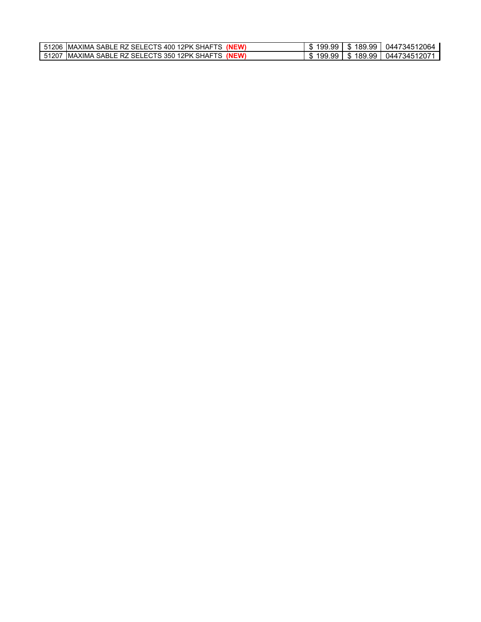| 51206 | <b>SHAFTS</b><br><b>IMAXIN</b><br>. S 400<br>12PK<br><b><i>(NEW</i></b><br>-∧XIMA<br>SABLE RZ<br>SFIET               | .aa<br>aa<br>- 11<br>ن ت.<br>-25 | 189<br>.99<br>æ<br>.১ | 12064<br>.345 <sup>4</sup><br>N44 |
|-------|----------------------------------------------------------------------------------------------------------------------|----------------------------------|-----------------------|-----------------------------------|
| 51207 | <b>SHAFTS</b><br>(NEW)<br>2PK<br>350<br>-XIMA.<br>IMA.<br><b>SELEC</b><br>SABLE RZ<br>$\overline{\phantom{a}}$<br>-- | aa<br>aa<br>- 11<br>ື<br>ن ت.    | .99<br>189.<br>\$.    | .3451207<br>ገ44.                  |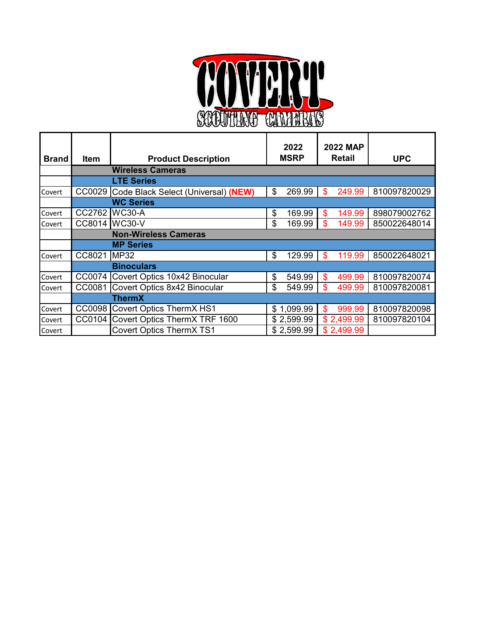

|              |               |                                     | 2022           |            | <b>2022 MAP</b> |            |              |               |            |
|--------------|---------------|-------------------------------------|----------------|------------|-----------------|------------|--------------|---------------|------------|
| <b>Brand</b> | <b>Item</b>   | <b>Product Description</b>          | <b>MSRP</b>    |            |                 |            |              | <b>Retail</b> | <b>UPC</b> |
|              |               | <b>Wireless Cameras</b>             |                |            |                 |            |              |               |            |
|              |               | <b>LTE Series</b>                   |                |            |                 |            |              |               |            |
| Covert       | <b>CC0029</b> | Code Black Select (Universal) (NEW) | $\mathfrak{S}$ | 269.99     | \$              | 249.99     | 810097820029 |               |            |
|              |               | <b>WC Series</b>                    |                |            |                 |            |              |               |            |
| Covert       | CC2762        | <b>WC30-A</b>                       | \$             | 169.99     | \$              | 149.99     | 898079002762 |               |            |
| Covert       | CC8014        | WC30-V                              | \$             | 169.99     | \$              | 149.99     | 850022648014 |               |            |
|              |               | <b>Non-Wireless Cameras</b>         |                |            |                 |            |              |               |            |
|              |               | <b>MP Series</b>                    |                |            |                 |            |              |               |            |
| Covert       | CC8021        | <b>MP32</b>                         | \$             | 129.99     | \$              | 119.99     | 850022648021 |               |            |
|              |               | <b>Binoculars</b>                   |                |            |                 |            |              |               |            |
| Covert       | CC0074        | Covert Optics 10x42 Binocular       | \$             | 549.99     | \$              | 499.99     | 810097820074 |               |            |
| Covert       | CC0081        | Covert Optics 8x42 Binocular        | \$             | 549.99     | \$              | 499.99     | 810097820081 |               |            |
|              |               | <b>ThermX</b>                       |                |            |                 |            |              |               |            |
| Covert       | <b>CC0098</b> | <b>Covert Optics ThermX HS1</b>     |                | \$1,099.99 | \$              | 999.99     | 810097820098 |               |            |
| Covert       | CC0104        | Covert Optics ThermX TRF 1600       |                | \$2,599.99 |                 | \$2,499.99 | 810097820104 |               |            |
| Covert       |               | <b>Covert Optics ThermX TS1</b>     |                | \$2,599.99 |                 | \$2,499.99 |              |               |            |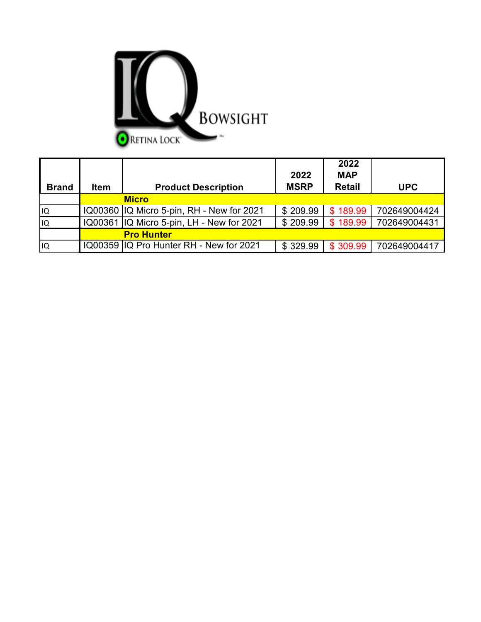

|              |             |                                           |             | 2022          |              |
|--------------|-------------|-------------------------------------------|-------------|---------------|--------------|
|              |             |                                           | 2022        | <b>MAP</b>    |              |
| <b>Brand</b> | <b>Item</b> | <b>Product Description</b>                | <b>MSRP</b> | <b>Retail</b> | <b>UPC</b>   |
|              |             | <b>Micro</b>                              |             |               |              |
| IQ           |             | IQ00360 IQ Micro 5-pin, RH - New for 2021 | \$209.99    | \$189.99      | 702649004424 |
| IQ           |             | IQ00361 IQ Micro 5-pin, LH - New for 2021 | \$209.99    | \$189.99      | 702649004431 |
|              |             | <b>Pro Hunter</b>                         |             |               |              |
| liq          |             | IQ00359 IQ Pro Hunter RH - New for 2021   | \$329.99    | \$309.99      | 702649004417 |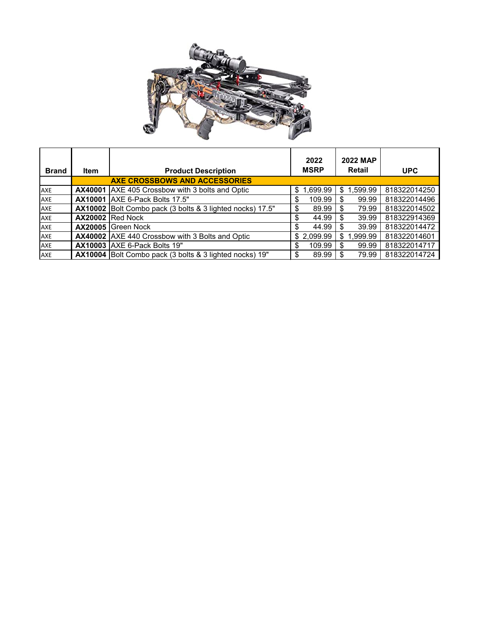

| <b>Brand</b> | Item    | <b>Product Description</b>                                       | 2022<br><b>MSRP</b> |              | <b>2022 MAP</b><br><b>Retail</b> | <b>UPC</b>   |
|--------------|---------|------------------------------------------------------------------|---------------------|--------------|----------------------------------|--------------|
|              |         | <b>AXE CROSSBOWS AND ACCESSORIES</b>                             |                     |              |                                  |              |
| <b>AXE</b>   | AX40001 | AXE 405 Crossbow with 3 bolts and Optic                          | \$<br>1,699.99      | $\mathbb{S}$ | 1,599.99                         | 818322014250 |
| AXE          | AX10001 | AXE 6-Pack Bolts 17.5"                                           | \$<br>109.99        | \$           | 99.99                            | 818322014496 |
| AXE          |         | <b>AX10002</b> Bolt Combo pack (3 bolts & 3 lighted nocks) 17.5" | \$<br>89.99         | -\$          | 79.99                            | 818322014502 |
| <b>AXE</b>   |         | <b>AX20002</b> Red Nock                                          | \$<br>44.99         | \$           | 39.99                            | 818322914369 |
| <b>AXE</b>   |         | AX20005 Green Nock                                               | \$<br>44.99         | -S           | 39.99                            | 818322014472 |
| AXE          |         | <b>AX40002</b> AXE 440 Crossbow with 3 Bolts and Optic           | \$2,099.99          | $\mathbb{S}$ | 1,999.99                         | 818322014601 |
| <b>AXE</b>   |         | <b>AX10003</b> AXE 6-Pack Bolts 19"                              | \$<br>109.99        | \$           | 99.99                            | 818322014717 |
| <b>AXE</b>   |         | <b>AX10004</b> Bolt Combo pack (3 bolts & 3 lighted nocks) 19"   | \$<br>89.99         | -\$          | 79.99                            | 818322014724 |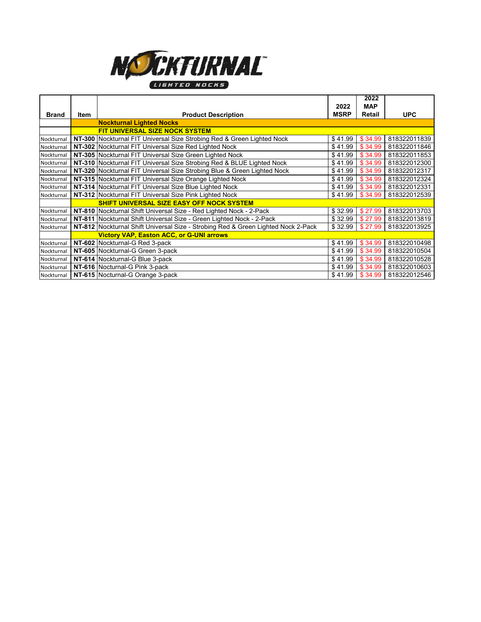

|              |             |                                                                                     |             | 2022          |              |
|--------------|-------------|-------------------------------------------------------------------------------------|-------------|---------------|--------------|
|              |             |                                                                                     | 2022        | <b>MAP</b>    |              |
| <b>Brand</b> | <b>Item</b> | <b>Product Description</b>                                                          | <b>MSRP</b> | <b>Retail</b> | <b>UPC</b>   |
|              |             | <b>Nockturnal Lighted Nocks</b>                                                     |             |               |              |
|              |             | FIT UNIVERSAL SIZE NOCK SYSTEM                                                      |             |               |              |
| Nockturnal   |             | NT-300 Nockturnal FIT Universal Size Strobing Red & Green Lighted Nock              | \$41.99     | \$34.99       | 818322011839 |
| Nockturnal   |             | NT-302 Nockturnal FIT Universal Size Red Lighted Nock                               | \$41.99     | \$34.99       | 818322011846 |
| Nockturnal   |             | NT-305 Nockturnal FIT Universal Size Green Lighted Nock                             | \$41.99     | \$34.99       | 818322011853 |
| Nockturnal   |             | NT-310 Nockturnal FIT Universal Size Strobing Red & BLUE Lighted Nock               | \$41.99     | \$34.99       | 818322012300 |
| Nockturnal   |             | NT-320 Nockturnal FIT Universal Size Strobing Blue & Green Lighted Nock             | \$41.99     | \$34.99       | 818322012317 |
| Nockturnal   |             | NT-315 Nockturnal FIT Universal Size Orange Lighted Nock                            | \$41.99     | \$34.99       | 818322012324 |
| Nockturnal   |             | NT-314 Nockturnal FIT Universal Size Blue Lighted Nock                              | \$41.99     | \$34.99       | 818322012331 |
| Nockturnal   |             | NT-312 Nockturnal FIT Universal Size Pink Lighted Nock                              | \$41.99     | \$34.99       | 818322012539 |
|              |             | SHIFT UNIVERSAL SIZE EASY OFF NOCK SYSTEM                                           |             |               |              |
| Nockturnal   |             | NT-810 Nockturnal Shift Universal Size - Red Lighted Nock - 2-Pack                  | \$32.99     | \$27.99       | 818322013703 |
| Nockturnal   |             | NT-811 Nockturnal Shift Universal Size - Green Lighted Nock - 2-Pack                | \$32.99     | \$27.99       | 818322013819 |
| Nockturnal   |             | NT-812   Nockturnal Shift Universal Size - Strobing Red & Green Lighted Nock 2-Pack | \$32.99     | \$27.99       | 818322013925 |
|              |             | <b>Victory VAP, Easton ACC, or G-UNI arrows</b>                                     |             |               |              |
| Nockturnal   |             | NT-602 Nockturnal-G Red 3-pack                                                      | \$41.99     | \$34.99       | 818322010498 |
| Nockturnal   |             | NT-605 Nockturnal-G Green 3-pack                                                    | \$41.99     | \$34.99       | 818322010504 |
| Nockturnal   |             | NT-614   Nockturnal-G Blue 3-pack                                                   | \$41.99     | \$34.99       | 818322010528 |
| Nockturnal   |             | NT-616   Nocturnal-G Pink 3-pack                                                    | \$41.99     | \$34.99       | 818322010603 |
|              |             | Nockturnal   NT-615   Nocturnal-G Orange 3-pack                                     | \$41.99     | \$34.99       | 818322012546 |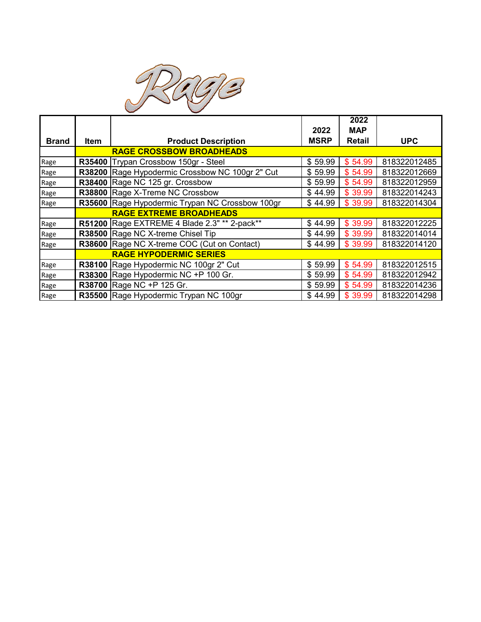

|              |               |                                                 |             | 2022          |              |
|--------------|---------------|-------------------------------------------------|-------------|---------------|--------------|
|              |               |                                                 | 2022        | <b>MAP</b>    |              |
| <b>Brand</b> | <b>Item</b>   | <b>Product Description</b>                      | <b>MSRP</b> | <b>Retail</b> | <b>UPC</b>   |
|              |               | <b>RAGE CROSSBOW BROADHEADS</b>                 |             |               |              |
| Rage         | R35400        | Trypan Crossbow 150gr - Steel                   | \$59.99     | \$54.99       | 818322012485 |
| Rage         | R38200        | Rage Hypodermic Crossbow NC 100gr 2" Cut        | \$59.99     | \$54.99       | 818322012669 |
| Rage         | R38400        | Rage NC 125 gr. Crossbow                        | \$59.99     | \$54.99       | 818322012959 |
| Rage         |               | R38800 Rage X-Treme NC Crossbow                 | \$44.99     | \$39.99       | 818322014243 |
| Rage         |               | R35600 Rage Hypodermic Trypan NC Crossbow 100gr | \$44.99     | \$39.99       | 818322014304 |
|              |               | <b>RAGE EXTREME BROADHEADS</b>                  |             |               |              |
| Rage         |               | R51200 Rage EXTREME 4 Blade 2.3" ** 2-pack**    | \$44.99     | \$39.99       | 818322012225 |
| Rage         | R38500        | Rage NC X-treme Chisel Tip                      | \$44.99     | \$39.99       | 818322014014 |
| Rage         |               | R38600 Rage NC X-treme COC (Cut on Contact)     | \$44.99     | \$39.99       | 818322014120 |
|              |               | <b>RAGE HYPODERMIC SERIES</b>                   |             |               |              |
| Rage         | <b>R38100</b> | Rage Hypodermic NC 100gr 2" Cut                 | \$59.99     | \$54.99       | 818322012515 |
| Rage         | <b>R38300</b> | Rage Hypodermic NC +P 100 Gr.                   | \$59.99     | \$54.99       | 818322012942 |
| Rage         | R38700        | Rage NC +P 125 Gr.                              | \$59.99     | \$54.99       | 818322014236 |
| Rage         |               | R35500 Rage Hypodermic Trypan NC 100gr          | \$44.99     | \$39.99       | 818322014298 |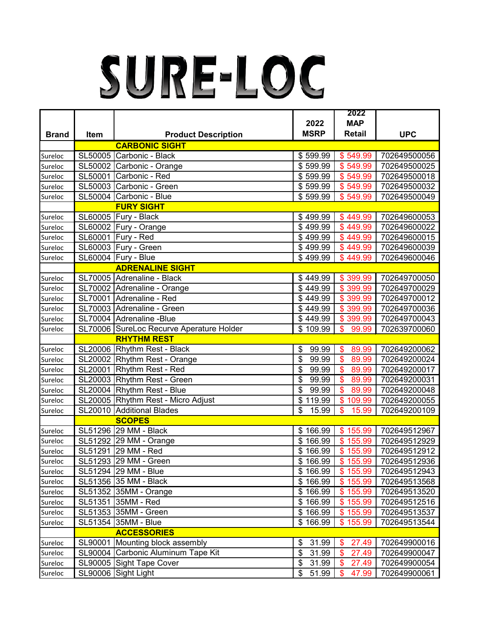## SURE-LOC

|              |      |                                                    |                                    | 2022                        |              |
|--------------|------|----------------------------------------------------|------------------------------------|-----------------------------|--------------|
|              |      |                                                    | 2022<br><b>MSRP</b>                | <b>MAP</b><br><b>Retail</b> |              |
| <b>Brand</b> | Item | <b>Product Description</b>                         |                                    |                             | <b>UPC</b>   |
|              |      | <b>CARBONIC SIGHT</b><br>SL50005 Carbonic - Black  |                                    |                             |              |
| Sureloc      |      |                                                    | \$599.99                           | \$549.99                    | 702649500056 |
| Sureloc      |      | SL50002 Carbonic - Orange                          | \$599.99                           | \$549.99                    | 702649500025 |
| Sureloc      |      | SL50001 Carbonic - Red<br>SL50003 Carbonic - Green | \$599.99                           | \$549.99                    | 702649500018 |
| Sureloc      |      |                                                    | \$599.99                           | \$549.99                    | 702649500032 |
| Sureloc      |      | SL50004 Carbonic - Blue                            | \$599.99                           | \$549.99                    | 702649500049 |
|              |      | <b>FURY SIGHT</b>                                  |                                    |                             |              |
| Sureloc      |      | SL60005   Fury - Black                             | \$499.99                           | \$449.99                    | 702649600053 |
| Sureloc      |      | SL60002   Fury - Orange                            | \$499.99                           | \$449.99                    | 702649600022 |
| Sureloc      |      | SL60001   Fury - Red                               | \$499.99                           | \$449.99                    | 702649600015 |
| Sureloc      |      | SL60003   Fury - Green                             | \$499.99                           | \$449.99                    | 702649600039 |
| Sureloc      |      | <b>SL60004   Fury - Blue</b>                       | \$499.99                           | \$449.99                    | 702649600046 |
|              |      | <b>ADRENALINE SIGHT</b>                            |                                    |                             |              |
| Sureloc      |      | SL70005 Adrenaline - Black                         | \$449.99                           | \$399.99                    | 702649700050 |
| Sureloc      |      | SL70002 Adrenaline - Orange                        | \$449.99                           | \$399.99                    | 702649700029 |
| Sureloc      |      | SL70001   Adrenaline - Red                         | \$449.99                           | \$399.99                    | 702649700012 |
| Sureloc      |      | SL70003 Adrenaline - Green                         | \$449.99                           | \$399.99                    | 702649700036 |
| Sureloc      |      | SL70004 Adrenaline -Blue                           | \$449.99                           | \$399.99                    | 702649700043 |
| Sureloc      |      | SL70006 SureLoc Recurve Aperature Holder           | \$109.99                           | 99.99<br>\$                 | 702639700060 |
|              |      | <b>RHYTHM REST</b>                                 |                                    |                             |              |
| Sureloc      |      | SL20006 Rhythm Rest - Black                        | 99.99<br>$\boldsymbol{\mathsf{S}}$ | 89.99<br>\$                 | 702649200062 |
| Sureloc      |      | SL20002 Rhythm Rest - Orange                       | $\mathcal{S}$<br>99.99             | 89.99<br>\$                 | 702649200024 |
| Sureloc      |      | SL20001 Rhythm Rest - Red                          | $\mathfrak{S}$<br>99.99            | \$<br>89.99                 | 702649200017 |
| Sureloc      |      | SL20003 Rhythm Rest - Green                        | $\mathcal{S}$<br>99.99             | \$<br>89.99                 | 702649200031 |
| Sureloc      |      | SL20004 Rhythm Rest - Blue                         | \$<br>99.99                        | \$<br>89.99                 | 702649200048 |
| Sureloc      |      | SL20005 Rhythm Rest - Micro Adjust                 | \$119.99                           | \$109.99                    | 702649200055 |
| Sureloc      |      | SL20010 Additional Blades                          | $\mathfrak{S}$<br>15.99            | \$<br>15.99                 | 702649200109 |
|              |      | <b>SCOPES</b>                                      |                                    |                             |              |
| Sureloc      |      | SL51296 29 MM - Black                              | \$166.99                           | \$155.99                    | 702649512967 |
| Sureloc      |      | SL51292   29 MM - Orange                           | \$166.99                           | \$155.99                    | 702649512929 |
| Sureloc      |      | SL51291   29 MM - Red                              | \$166.99                           | \$155.99                    | 702649512912 |
| Sureloc      |      | SL51293   29 MM - Green                            | \$166.99                           | \$155.99                    | 702649512936 |
| Sureloc      |      | SL51294   29 MM - Blue                             | \$166.99                           | \$155.99                    | 702649512943 |
| Sureloc      |      | SL51356 35 MM - Black                              | \$166.99                           | \$155.99                    | 702649513568 |
| Sureloc      |      | SL51352 35MM - Orange                              | \$166.99                           | \$155.99                    | 702649513520 |
| Sureloc      |      | SL51351 35MM - Red                                 | \$166.99                           | \$155.99                    | 702649512516 |
| Sureloc      |      | SL51353 35MM - Green                               | \$166.99                           | \$155.99                    | 702649513537 |
| Sureloc      |      | SL51354 35MM - Blue                                | \$166.99                           | \$155.99                    | 702649513544 |
|              |      | <b>ACCESSORIES</b>                                 |                                    |                             |              |
| Sureloc      |      | SL90001 Mounting block assembly                    | \$<br>31.99                        | 27.49<br>$\boldsymbol{\$}$  | 702649900016 |
| Sureloc      |      | SL90004 Carbonic Aluminum Tape Kit                 | \$<br>31.99                        | \$<br>27.49                 | 702649900047 |
| Sureloc      |      | SL90005 Sight Tape Cover                           | $\boldsymbol{\mathsf{S}}$<br>31.99 | \$<br>27.49                 | 702649900054 |
| Sureloc      |      | SL90006 Sight Light                                | 51.99<br>\$                        | \$<br>47.99                 | 702649900061 |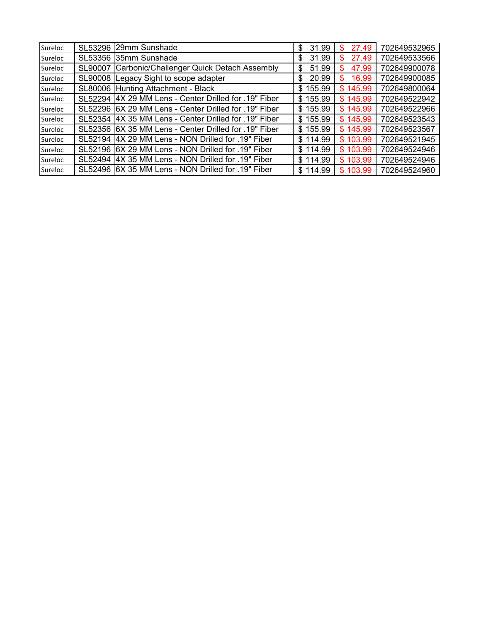| Sureloc |         | SL53296 29mm Sunshade                                 | 31.99<br>$\mathbb{S}$ | 27.49<br>S   | 702649532965 |
|---------|---------|-------------------------------------------------------|-----------------------|--------------|--------------|
| Sureloc |         | SL53356 35mm Sunshade                                 | 31.99<br>\$           | 27.49<br>S   | 702649533566 |
| Sureloc | SL90007 | Carbonic/Challenger Quick Detach Assembly             | 51.99<br>\$           | 47.99<br>\$. | 702649900078 |
| Sureloc |         | SL90008 Legacy Sight to scope adapter                 | 20.99<br>\$.          | 16.99<br>\$. | 702649900085 |
| Sureloc |         | SL80006 Hunting Attachment - Black                    | \$155.99              | \$145.99     | 702649800064 |
| Sureloc |         | SL52294 4X 29 MM Lens - Center Drilled for .19" Fiber | \$155.99              | \$145.99     | 702649522942 |
| Sureloc |         | SL52296 6X 29 MM Lens - Center Drilled for .19" Fiber | \$155.99              | \$145.99     | 702649522966 |
| Sureloc |         | SL52354 4X 35 MM Lens - Center Drilled for .19" Fiber | \$155.99              | \$145.99     | 702649523543 |
| Sureloc |         | SL52356 6X 35 MM Lens - Center Drilled for .19" Fiber | \$155.99              | \$145.99     | 702649523567 |
| Sureloc |         | SL52194 4X 29 MM Lens - NON Drilled for .19" Fiber    | \$114.99              | \$103.99     | 702649521945 |
| Sureloc |         | SL52196 6X 29 MM Lens - NON Drilled for .19" Fiber    | \$114.99              | \$103.99     | 702649524946 |
| Sureloc |         | SL52494  4X 35 MM Lens - NON Drilled for .19" Fiber   | \$114.99              | \$103.99     | 702649524946 |
| Sureloc |         | SL52496   6X 35 MM Lens - NON Drilled for .19" Fiber  | \$114.99              | \$103.99     | 702649524960 |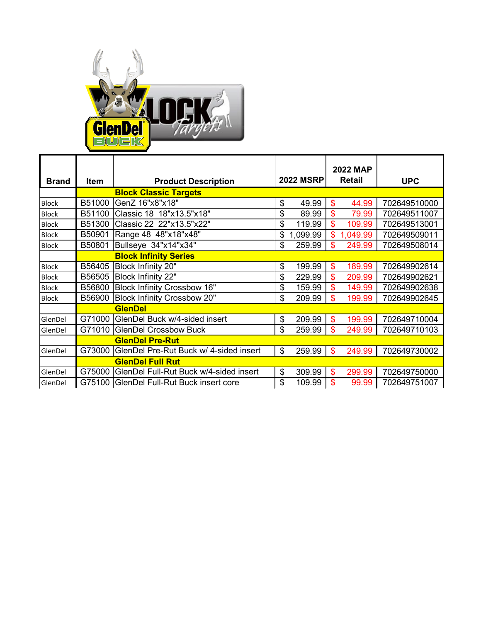

|              |             |                                          |                  |               | <b>2022 MAP</b> |              |
|--------------|-------------|------------------------------------------|------------------|---------------|-----------------|--------------|
| <b>Brand</b> | <b>Item</b> | <b>Product Description</b>               | <b>2022 MSRP</b> |               | <b>Retail</b>   | <b>UPC</b>   |
|              |             | <b>Block Classic Targets</b>             |                  |               |                 |              |
| <b>Block</b> | B51000      | GenZ 16"x8"x18"                          | \$<br>49.99      | \$            | 44.99           | 702649510000 |
| <b>Block</b> | B51100      | Classic 18 18"x13.5"x18"                 | \$<br>89.99      | \$            | 79.99           | 702649511007 |
| <b>Block</b> | B51300      | Classic 22 22"x13.5"x22"                 | \$<br>119.99     | \$            | 109.99          | 702649513001 |
| <b>Block</b> | B50901      | Range 48 48"x18"x48"                     | \$<br>1,099.99   | $\mathbf{\$}$ | 1,049.99        | 702649509011 |
| <b>Block</b> | B50801      | Bullseye 34"x14"x34"                     | \$<br>259.99     | \$            | 249.99          | 702649508014 |
|              |             | <b>Block Infinity Series</b>             |                  |               |                 |              |
| <b>Block</b> | B56405      | Block Infinity 20"                       | \$<br>199.99     | \$            | 189.99          | 702649902614 |
| <b>Block</b> |             | B56505 Block Infinity 22"                | \$<br>229.99     | \$            | 209.99          | 702649902621 |
| <b>Block</b> | B56800      | Block Infinity Crossbow 16"              | \$<br>159.99     | $\mathbf{\$}$ | 149.99          | 702649902638 |
| <b>Block</b> | B56900      | Block Infinity Crossbow 20"              | \$<br>209.99     | \$            | 199.99          | 702649902645 |
|              |             | <b>GlenDel</b>                           |                  |               |                 |              |
| GlenDel      | G71000      | GlenDel Buck w/4-sided insert            | \$<br>209.99     | \$            | 199.99          | 702649710004 |
| GlenDel      |             | G71010 GlenDel Crossbow Buck             | \$<br>259.99     | $\mathbf{\$}$ | 249.99          | 702649710103 |
|              |             | <b>GlenDel Pre-Rut</b>                   |                  |               |                 |              |
| GlenDel      | G73000      | GlenDel Pre-Rut Buck w/ 4-sided insert   | \$<br>259.99     | \$            | 249.99          | 702649730002 |
|              |             | <b>GlenDel Full Rut</b>                  |                  |               |                 |              |
| GlenDel      | G75000      | GlenDel Full-Rut Buck w/4-sided insert   | \$<br>309.99     | \$            | 299.99          | 702649750000 |
| GlenDel      |             | G75100 GlenDel Full-Rut Buck insert core | \$<br>109.99     | \$            | 99.99           | 702649751007 |